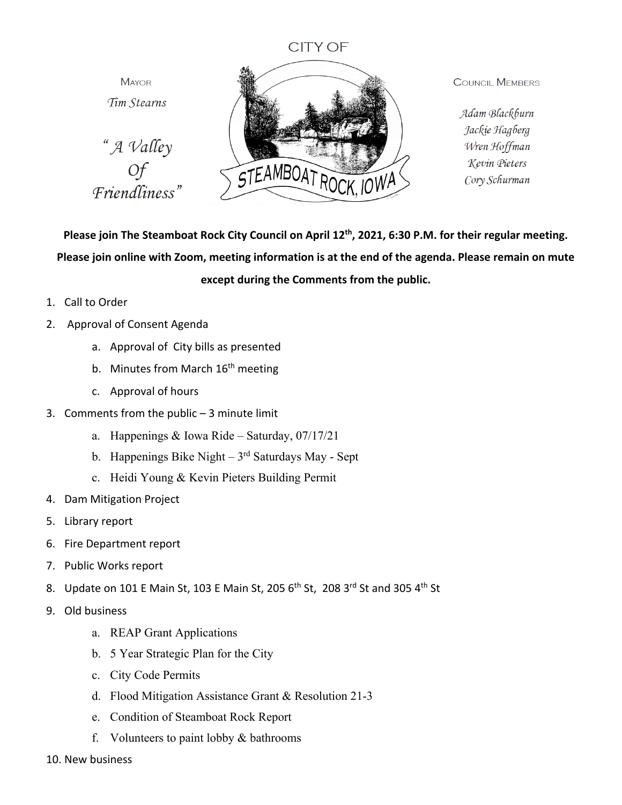## **CITY OF**

**MAYOR** Tim Stearns " A Valley STEAMBOAT ROC Of<br>
Friendliness"

**COUNCIL MEMBERS** 

Adam Blackburn Jackie Hagberg Wren Hoffman Kevin Pieters Cory Schurman

**Please join The Steamboat Rock City Council on April 12th, 2021, 6:30 P.M. for their regular meeting. Please join online with Zoom, meeting information is at the end of the agenda. Please remain on mute except during the Comments from the public.**

- 1. Call to Order
- 2. Approval of Consent Agenda
	- a. Approval of City bills as presented
	- b. Minutes from March 16<sup>th</sup> meeting
	- c. Approval of hours
- 3. Comments from the public  $-3$  minute limit
	- a. Happenings & Iowa Ride Saturday, 07/17/21
	- b. Happenings Bike Night  $3<sup>rd</sup>$  Saturdays May Sept
	- c. Heidi Young & Kevin Pieters Building Permit
- 4. Dam Mitigation Project
- 5. Library report
- 6. Fire Department report
- 7. Public Works report
- 8. Update on 101 E Main St, 103 E Main St, 205  $6<sup>th</sup>$  St, 208 3<sup>rd</sup> St and 305 4<sup>th</sup> St
- 9. Old business
	- a. REAP Grant Applications
	- b. 5 Year Strategic Plan for the City
	- c. City Code Permits
	- d. Flood Mitigation Assistance Grant & Resolution 21-3
	- e. Condition of Steamboat Rock Report
	- f. Volunteers to paint lobby & bathrooms